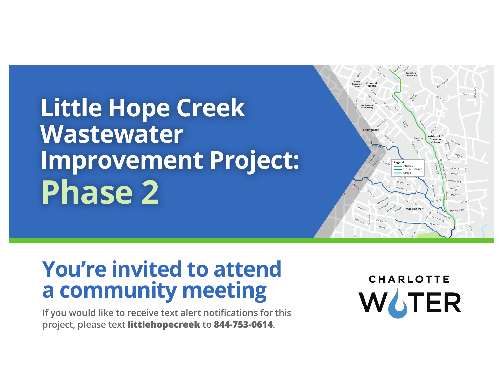**Little Hope Creek Wastewater Improvement Project: Phase 2** 



## **You're invited to attend a community meeting**

**If you would like to receive text alert notifications for this project, please text littlehopecreek to 844-753-0614.** 

CHAR  $\overline{\phantom{a}}$ WATER